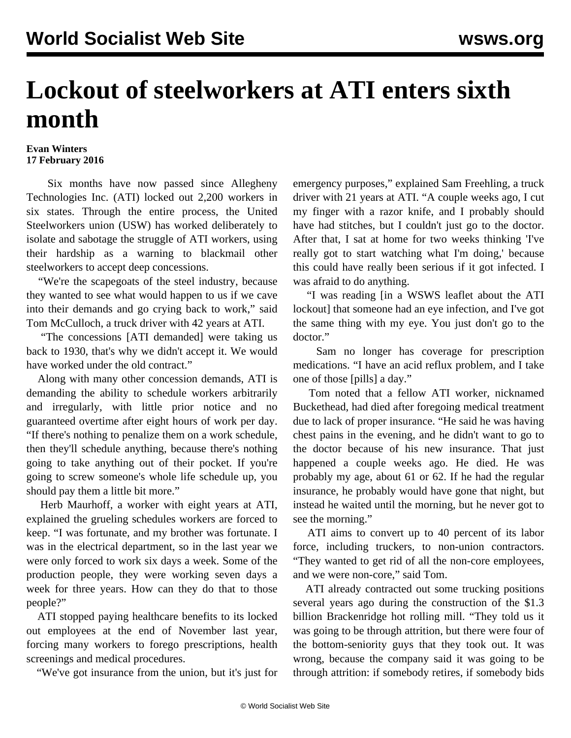## **Lockout of steelworkers at ATI enters sixth month**

## **Evan Winters 17 February 2016**

 Six months have now passed since Allegheny Technologies Inc. (ATI) locked out 2,200 workers in six states. Through the entire process, the United Steelworkers union (USW) has worked deliberately to isolate and sabotage the struggle of ATI workers, using their hardship as a warning to blackmail other steelworkers to accept deep concessions.

 "We're the scapegoats of the steel industry, because they wanted to see what would happen to us if we cave into their demands and go crying back to work," said Tom McCulloch, a truck driver with 42 years at ATI.

 "The concessions [ATI demanded] were taking us back to 1930, that's why we didn't accept it. We would have worked under the old contract."

 Along with many other concession demands, ATI is demanding the ability to schedule workers arbitrarily and irregularly, with little prior notice and no guaranteed overtime after eight hours of work per day. "If there's nothing to penalize them on a work schedule, then they'll schedule anything, because there's nothing going to take anything out of their pocket. If you're going to screw someone's whole life schedule up, you should pay them a little bit more."

 Herb Maurhoff, a worker with eight years at ATI, explained the grueling schedules workers are forced to keep. "I was fortunate, and my brother was fortunate. I was in the electrical department, so in the last year we were only forced to work six days a week. Some of the production people, they were working seven days a week for three years. How can they do that to those people?"

 ATI stopped paying healthcare benefits to its locked out employees at the end of November last year, forcing many workers to forego prescriptions, health screenings and medical procedures.

"We've got insurance from the union, but it's just for

emergency purposes," explained Sam Freehling, a truck driver with 21 years at ATI. "A couple weeks ago, I cut my finger with a razor knife, and I probably should have had stitches, but I couldn't just go to the doctor. After that, I sat at home for two weeks thinking 'I've really got to start watching what I'm doing,' because this could have really been serious if it got infected. I was afraid to do anything.

 "I was reading [in a WSWS leaflet about the ATI lockout] that someone had an eye infection, and I've got the same thing with my eye. You just don't go to the doctor."

 Sam no longer has coverage for prescription medications. "I have an acid reflux problem, and I take one of those [pills] a day."

 Tom noted that a fellow ATI worker, nicknamed Buckethead, had died after foregoing medical treatment due to lack of proper insurance. "He said he was having chest pains in the evening, and he didn't want to go to the doctor because of his new insurance. That just happened a couple weeks ago. He died. He was probably my age, about 61 or 62. If he had the regular insurance, he probably would have gone that night, but instead he waited until the morning, but he never got to see the morning."

 ATI aims to convert up to 40 percent of its labor force, including truckers, to non-union contractors. "They wanted to get rid of all the non-core employees, and we were non-core," said Tom.

 ATI already contracted out some trucking positions several years ago during the construction of the \$1.3 billion Brackenridge hot rolling mill. "They told us it was going to be through attrition, but there were four of the bottom-seniority guys that they took out. It was wrong, because the company said it was going to be through attrition: if somebody retires, if somebody bids